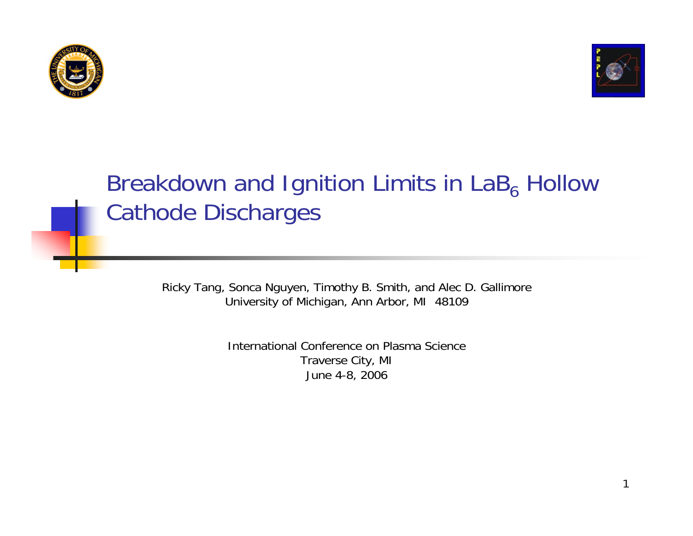



#### Breakdown and Ignition Limits in LaB<sub>6</sub> Hollow Cathode Discharges

Ricky Tang, Sonca Nguyen, Timothy B. Smith, and Alec D. Gallimore University of Michigan, Ann Arbor, MI 48109

> International Conference on Plasma ScienceTraverse City, MI June 4-8, 2006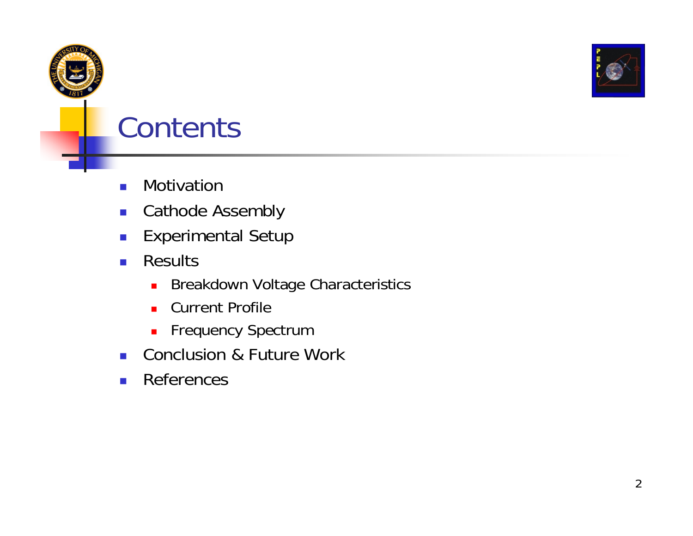

### **Contents**

- $\mathcal{L}_{\mathcal{A}}$ Motivation
- $\mathcal{L}_{\text{max}}$ Cathode Assembly
- $\mathbb{R}^n$ Experimental Setup
- $\| \cdot \|$  Results
	- $\blacksquare$ Breakdown Voltage Characteristics
	- **Current Profile**
	- **Frequency Spectrum**
- $\mathcal{L}_{\text{max}}$ Conclusion & Future Work
- $\sim 10$ References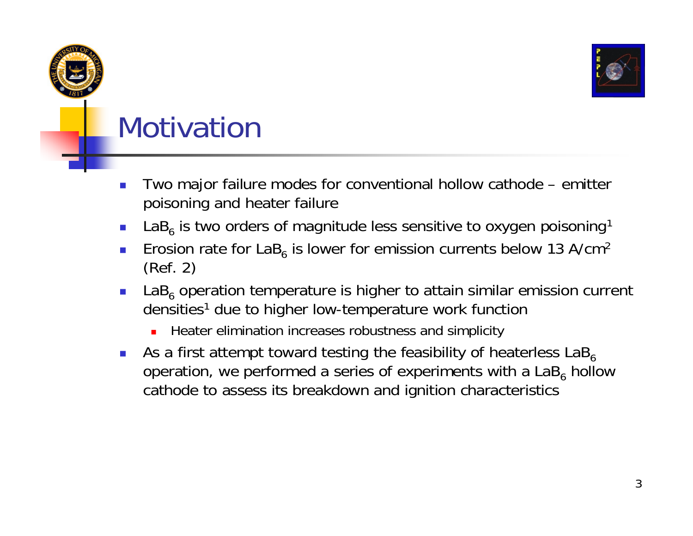

# **Motivation**

- Two major failure modes for conventional hollow cathode emitter poisoning and heater failure
- $\mathcal{L}_{\mathcal{A}}$ **L**aB<sub>6</sub> is two orders of magnitude less sensitive to oxygen poisoning<sup>1</sup>
- $\mathcal{C}^{\mathcal{A}}$ **E** Erosion rate for LaB<sub>6</sub> is lower for emission currents below 13 A/cm<sup>2</sup> (Ref. 2)
- $\overline{\phantom{a}}$ **LaB**<sub>6</sub> operation temperature is higher to attain similar emission current densities<sup>1</sup> due to higher low-temperature work function
	- г Heater elimination increases robustness and simplicity
- $\sim$ As a first attempt toward testing the feasibility of heaterless  $\text{LaB}_6$ operation, we performed a series of experiments with a LaB<sub>6</sub> hollow cathode to assess its breakdown and ignition characteristics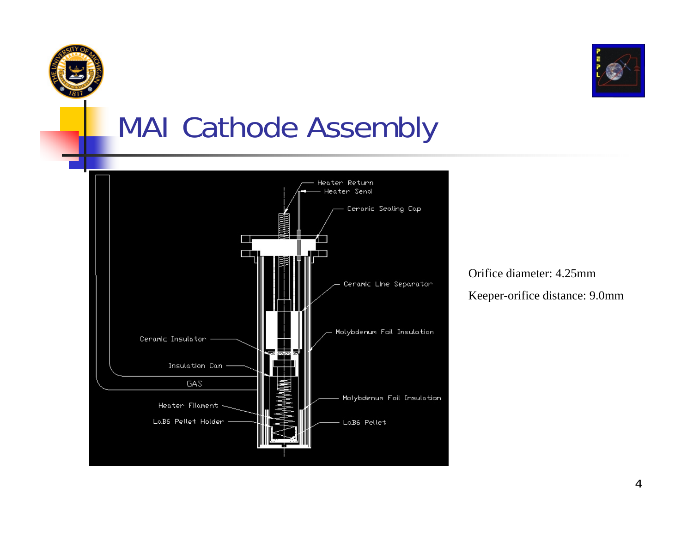



#### MAI Cathode Assembly



Orifice diameter: 4.25mmKeeper-orifice distance: 9.0mm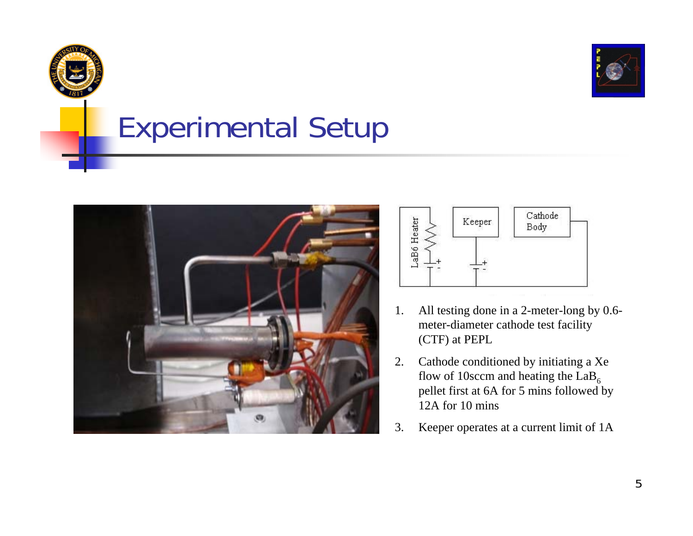

### Experimental Setup





- 1. All testing done in a 2-meter-long by 0.6 meter-diameter cathode test facility (CTF) at PEPL
- 2. Cathode conditioned by initiating a Xe flow of 10sccm and heating the  $LaB<sub>6</sub>$  pellet first at 6A for 5 mins followed by 12A for 10 mins
- 3. Keeper operates at a current limit of 1A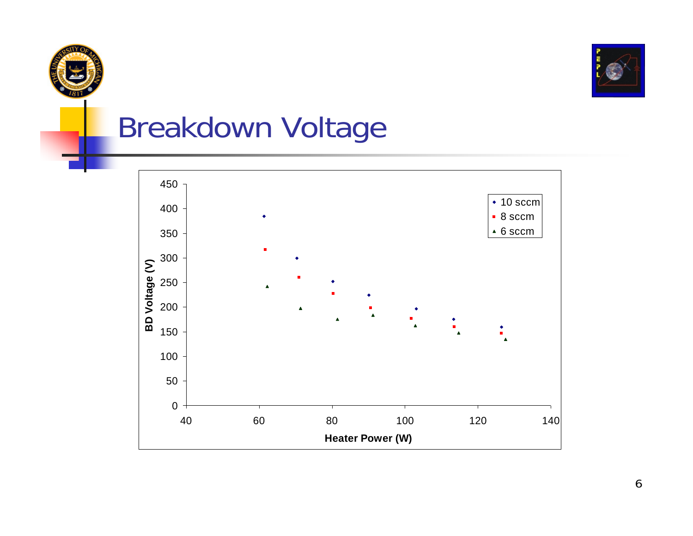



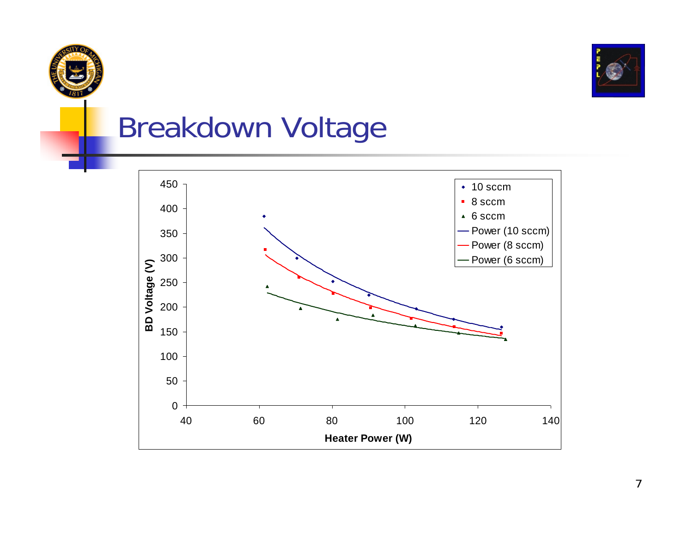



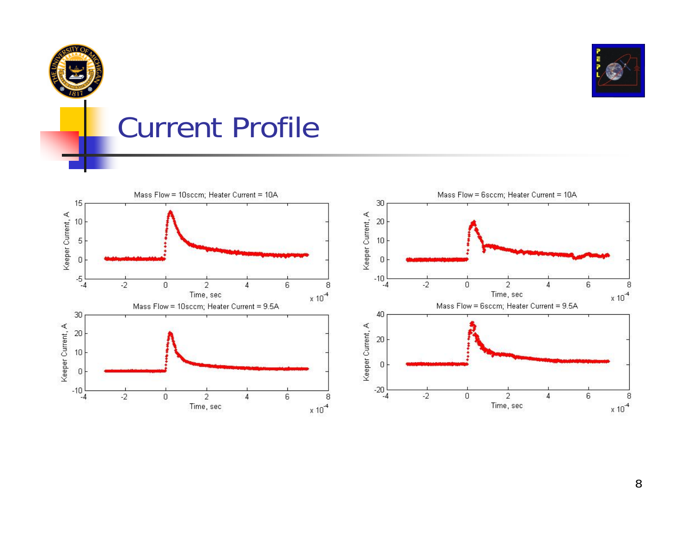

#### Current Profile

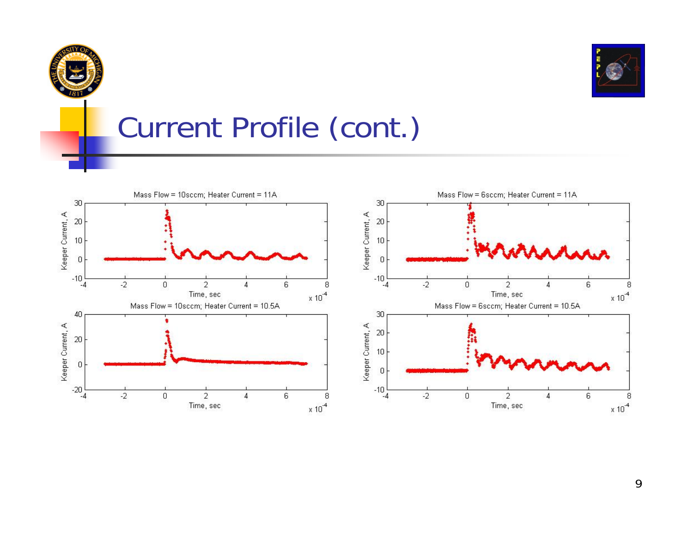



# Current Profile (cont.)



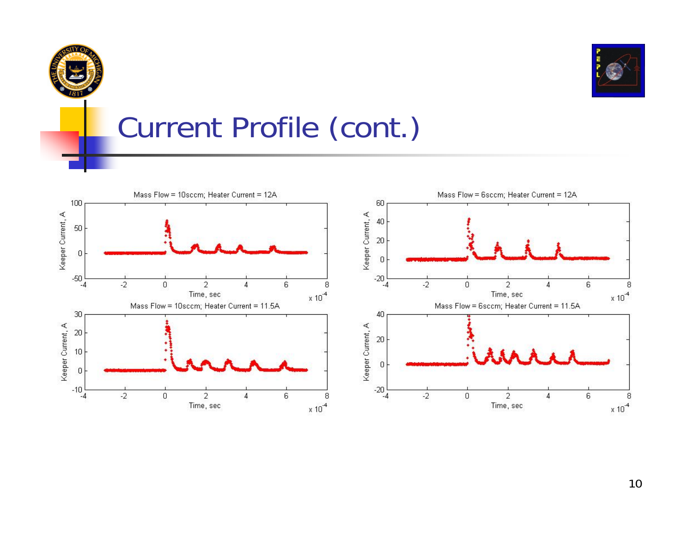



# Current Profile (cont.)

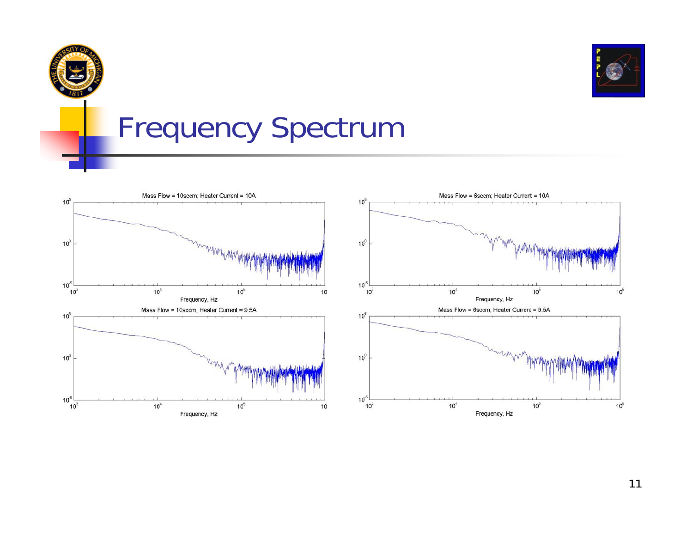



### Frequency Spectrum



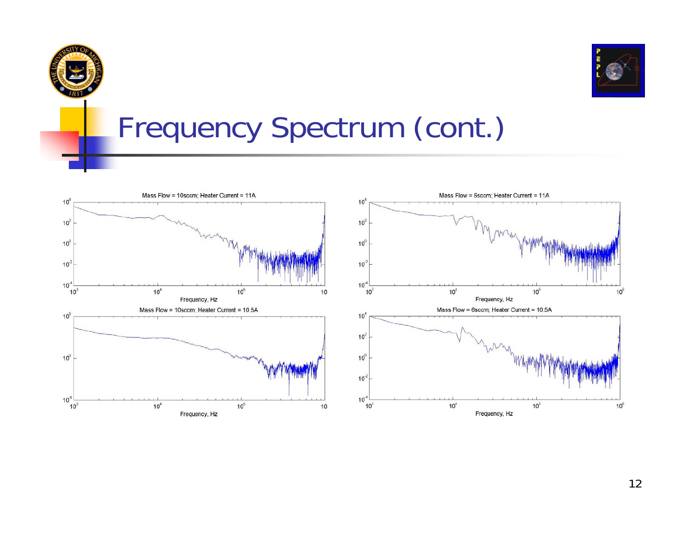



#### Frequency Spectrum (cont.)



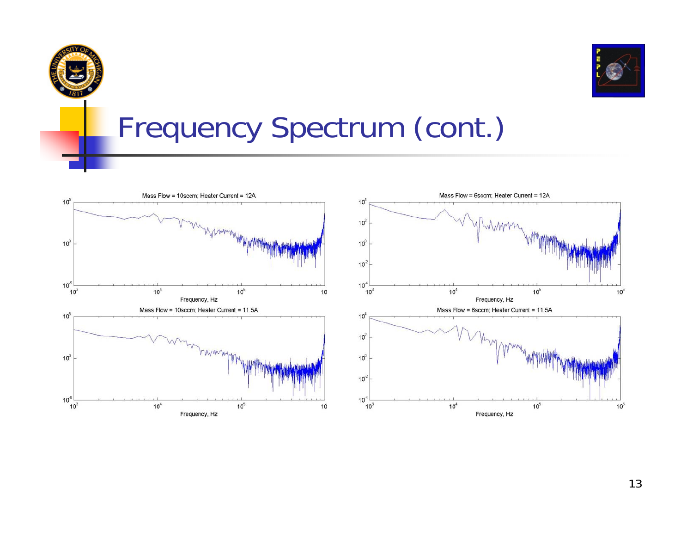



#### Frequency Spectrum (cont.)



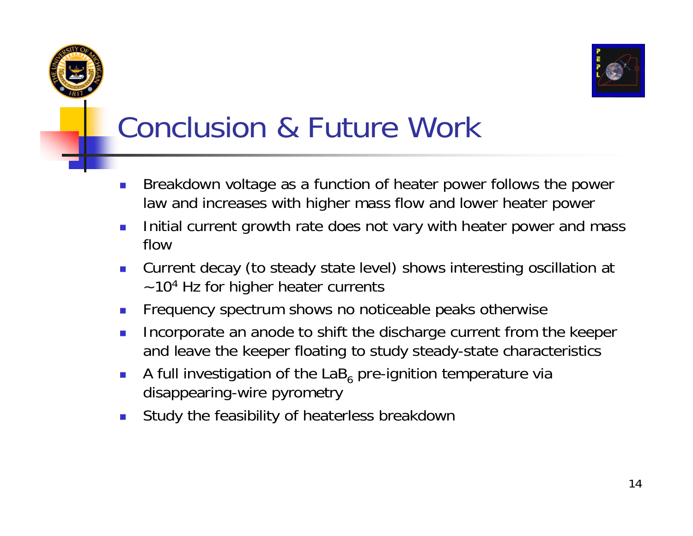



# Conclusion & Future Work

- Breakdown voltage as a function of heater power follows the power law and increases with higher mass flow and lower heater power
- $\mathcal{L}_{\mathcal{A}}$  Initial current growth rate does not vary with heater power and mass flow
- $\mathcal{L}^{\text{max}}$  Current decay (to steady state level) shows interesting oscillation at  $\sim$  10<sup>4</sup> Hz for higher heater currents
- $\mathcal{L}_{\mathcal{A}}$ Frequency spectrum shows no noticeable peaks otherwise
- $\mathcal{L}_{\mathcal{A}}$  Incorporate an anode to shift the discharge current from the keeper and leave the keeper floating to study steady-state characteristics
- $\mathcal{L}_{\mathcal{A}}$ A full investigation of the LaB<sub>6</sub> pre-ignition temperature via disappearing-wire pyrometry
- $\overline{\phantom{a}}$ Study the feasibility of heaterless breakdown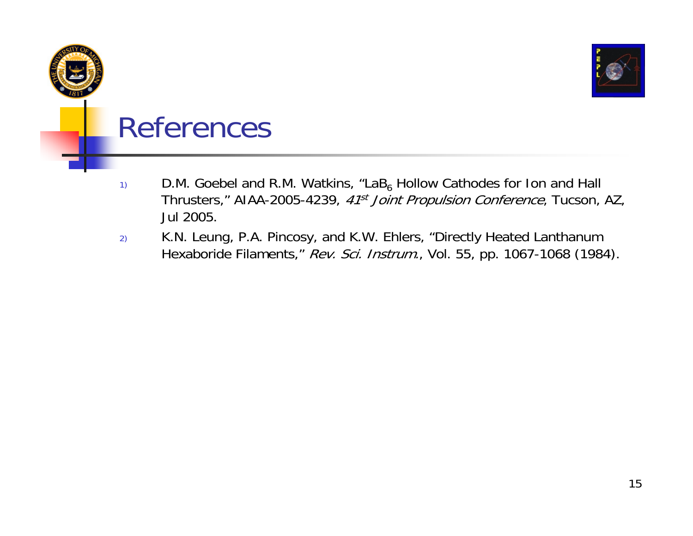

#### References

- $_{1)}$  D.M. Goebel and R.M. Watkins, "LaB<sub>6</sub> Hollow Cathodes for Ion and Hall Thrusters," AIAA-2005-4239, 41<sup>st</sup> Joint Propulsion Conference, Tucson, AZ, Jul 2005.
- 2) K.N. Leung, P.A. Pincosy, and K.W. Ehlers, "Directly Heated Lanthanum Hexaboride Filaments," Rev. Sci. Instrum., Vol. 55, pp. 1067-1068 (1984).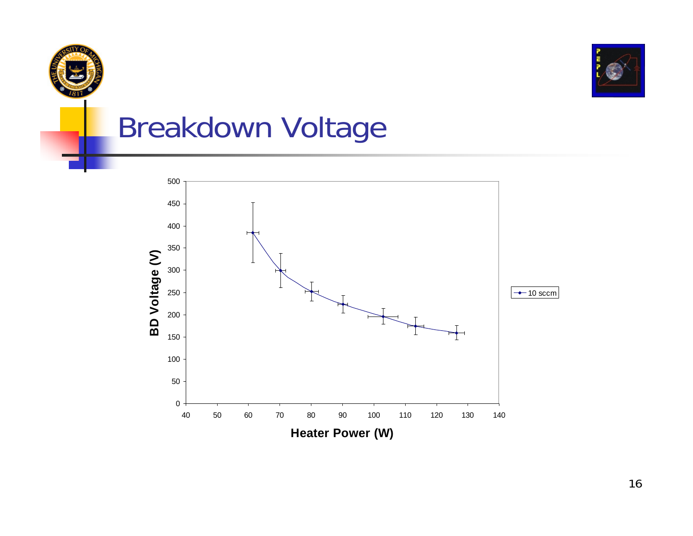

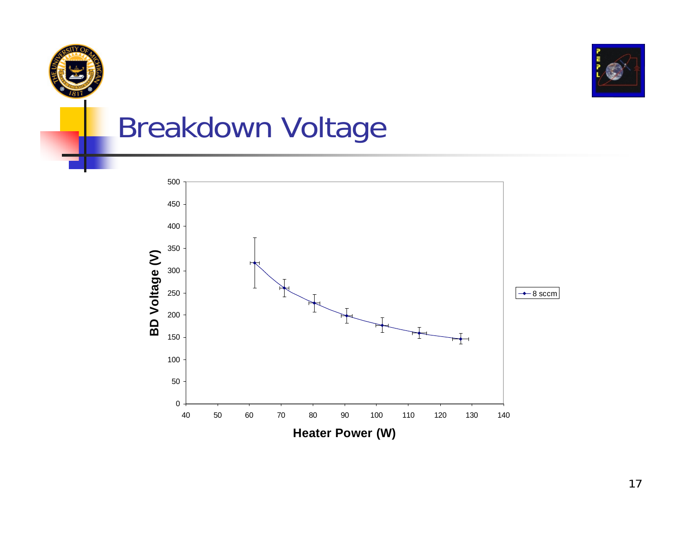

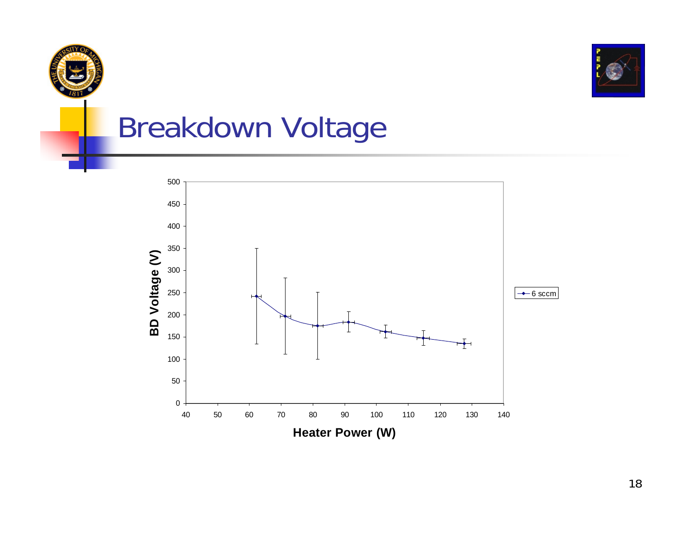

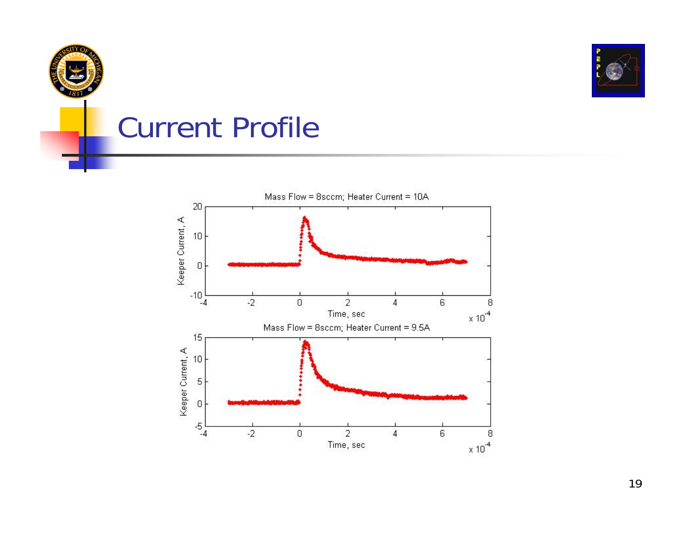

#### Current Profile

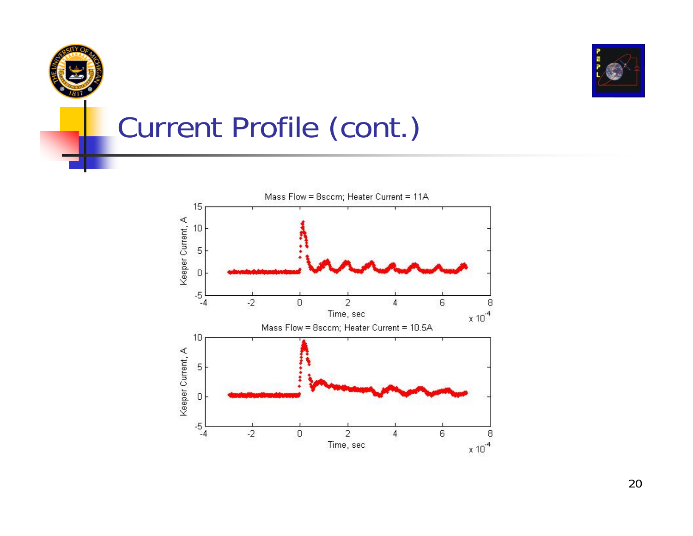

### Current Profile (cont.)